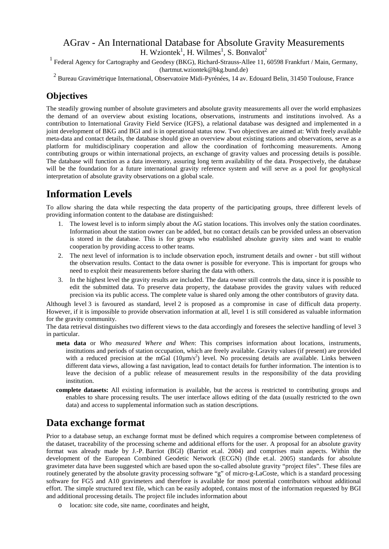#### AGrav - An International Database for Absolute Gravity Measurements H. Wziontek<sup>1</sup>, H. Wilmes<sup>1</sup>, S. Bonvalot<sup>2</sup>

<sup>1</sup> Federal Agency for Cartography and Geodesy (BKG), Richard-Strauss-Allee 11, 60598 Frankfurt / Main, Germany, (hartmut.wziontek@bkg.bund.de)

<sup>2</sup> Bureau Gravimétrique International, Observatoire Midi-Pyrénées, 14 av. Edouard Belin, 31450 Toulouse, France

#### **Objectives**

The steadily growing number of absolute gravimeters and absolute gravity measurements all over the world emphasizes the demand of an overview about existing locations, observations, instruments and institutions involved. As a contribution to International Gravity Field Service (IGFS), a relational database was designed and implemented in a joint development of BKG and BGI and is in operational status now. Two objectives are aimed at: With freely available meta-data and contact details, the database should give an overview about existing stations and observations, serve as a platform for multidisciplinary cooperation and allow the coordination of forthcoming measurements. Among contributing groups or within international projects, an exchange of gravity values and processing details is possible. The database will function as a data inventory, assuring long term availability of the data. Prospectively, the database will be the foundation for a future international gravity reference system and will serve as a pool for geophysical interpretation of absolute gravity observations on a global scale.

### **Information Levels**

To allow sharing the data while respecting the data property of the participating groups, three different levels of providing information content to the database are distinguished:

- 1. The lowest level is to inform simply about the AG station locations. This involves only the station coordinates. Information about the station owner can be added, but no contact details can be provided unless an observation is stored in the database. This is for groups who established absolute gravity sites and want to enable cooperation by providing access to other teams.
- 2. The next level of information is to include observation epoch, instrument details and owner but still without the observation results. Contact to the data owner is possible for everyone. This is important for groups who need to exploit their measurements before sharing the data with others.
- 3. In the highest level the gravity results are included. The data owner still controls the data, since it is possible to edit the submitted data. To preserve data property, the database provides the gravity values with reduced precision via its public access. The complete value is shared only among the other contributors of gravity data.

Although level 3 is favoured as standard, level 2 is proposed as a compromise in case of difficult data property. However, if it is impossible to provide observation information at all, level 1 is still considered as valuable information for the gravity community.

The data retrieval distinguishes two different views to the data accordingly and foresees the selective handling of level 3 in particular.

- **meta data** or *Who measured Where and When*: This comprises information about locations, instruments, institutions and periods of station occupation, which are freely available. Gravity values (if present) are provided with a reduced precision at the mGal  $(10 \mu m/s^2)$  level. No processing details are available. Links between different data views, allowing a fast navigation, lead to contact details for further information. The intention is to leave the decision of a public release of measurement results in the responsibility of the data providing institution.
- **complete datasets:** All existing information is available, but the access is restricted to contributing groups and enables to share processing results. The user interface allows editing of the data (usually restricted to the own data) and access to supplemental information such as station descriptions.

# **Data exchange format**

Prior to a database setup, an exchange format must be defined which requires a compromise between completeness of the dataset, traceability of the processing scheme and additional efforts for the user. A proposal for an absolute gravity format was already made by J.-P. Barriot (BGI) (Barriot et.al. 2004) and comprises main aspects. Within the development of the European Combined Geodetic Network (ECGN) (Ihde et.al. 2005) standards for absolute gravimeter data have been suggested which are based upon the so-called absolute gravity "project files". These files are routinely generated by the absolute gravity processing software "g" of micro-g-LaCoste, which is a standard processing software for FG5 and A10 gravimeters and therefore is available for most potential contributors without additional effort. The simple structured text file, which can be easily adopted, contains most of the information requested by BGI and additional processing details. The project file includes information about

o location: site code, site name, coordinates and height,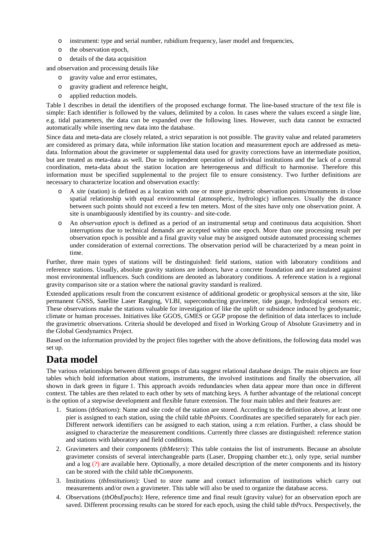- o instrument: type and serial number, rubidium frequency, laser model and frequencies,
- o the observation epoch,
- o details of the data acquisition

and observation and processing details like

- o gravity value and error estimates,
- o gravity gradient and reference height,
- o applied reduction models.

Table 1 describes in detail the identifiers of the proposed exchange format. The line-based structure of the text file is simple: Each identifier is followed by the values, delimited by a colon. In cases where the values exceed a single line, e.g. tidal parameters, the data can be expanded over the following lines. However, such data cannot be extracted automatically while inserting new data into the database.

Since data and meta-data are closely related, a strict separation is not possible. The gravity value and related parameters are considered as primary data, while information like station location and measurement epoch are addressed as metadata. Information about the gravimeter or supplemental data used for gravity corrections have an intermediate position, but are treated as meta-data as well. Due to independent operation of individual institutions and the lack of a central coordination, meta-data about the station location are heterogeneous and difficult to harmonise. Therefore this information must be specified supplemental to the project file to ensure consistency. Two further definitions are necessary to characterize location and observation exactly:

- o A *site* (station) is defined as a location with one or more gravimetric observation points/monuments in close spatial relationship with equal environmental (atmospheric, hydrologic) influences. Usually the distance between such points should not exceed a few ten meters. Most of the sites have only one observation point. A site is unambiguously identified by its country- and site-code.
- o An *observation epoch* is defined as a period of an instrumental setup and continuous data acquisition. Short interruptions due to technical demands are accepted within one epoch. More than one processing result per observation epoch is possible and a final gravity value may be assigned outside automated processing schemes under consideration of external corrections. The observation period will be characterized by a mean point in time.

Further, three main types of stations will be distinguished: field stations, station with laboratory conditions and reference stations. Usually, absolute gravity stations are indoors, have a concrete foundation and are insulated against most environmental influences. Such conditions are denoted as laboratory conditions. A reference station is a regional gravity comparison site or a station where the national gravity standard is realized.

Extended applications result from the concurrent existence of additional geodetic or geophysical sensors at the site, like permanent GNSS, Satellite Laser Ranging, VLBI, superconducting gravimeter, tide gauge, hydrological sensors etc. These observations make the stations valuable for investigation of like the uplift or subsidence induced by geodynamic, climate or human processes. Initiatives like GGOS, GMES or GGP propose the definition of data interfaces to include the gravimetric observations. Criteria should be developed and fixed in Working Group of Absolute Gravimetry and in the Global Geodynamics Project.

Based on the information provided by the project files together with the above definitions, the following data model was set up.

#### **Data model**

The various relationships between different groups of data suggest relational database design. The main objects are four tables which hold information about stations, instruments, the involved institutions and finally the observation, all shown in dark green in figure 1. This approach avoids redundancies when data appear more than once in different context. The tables are then related to each other by sets of matching keys. A further advantage of the relational concept is the option of a stepwise development and flexible future extension. The four main tables and their features are:

- 1. Stations (*tbStations*): Name and site code of the station are stored. According to the definition above, at least one pier is assigned to each station, using the child table *tbPoints*. Coordinates are specified separately for each pier. Different network identifiers can be assigned to each station, using a n:m relation. Further, a class should be assigned to characterize the measurement conditions. Currently three classes are distinguished: reference station and stations with laboratory and field conditions.
- 2. Gravimeters and their components (*tbMeters*): This table contains the list of instruments. Because an absolute gravimeter consists of several interchangeable parts (Laser, Dropping chamber etc.), only type, serial number and a log (?) are available here. Optionally, a more detailed description of the meter components and its history can be stored with the child table *tbComponents*.
- 3. Institutions (*tbInstitutions*): Used to store name and contact information of institutions which carry out measurements and/or own a gravimeter. This table will also be used to organize the database access.
- 4. Observations (*tbObsEpochs*): Here, reference time and final result (gravity value) for an observation epoch are saved. Different processing results can be stored for each epoch, using the child table *tbProcs*. Perspectively, the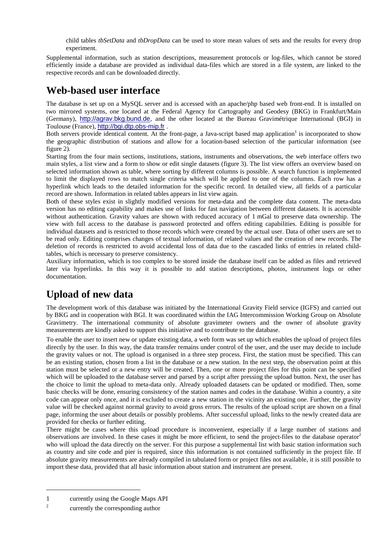child tables *tbSetData* and *tbDropData* can be used to store mean values of sets and the results for every drop experiment.

Supplemental information, such as station descriptions, measurement protocols or log-files, which cannot be stored efficiently inside a database are provided as individual data-files which are stored in a file system, are linked to the respective records and can be downloaded directly.

## **Web-based user interface**

The database is set up on a MySQL server and is accessed with an apache/php based web front-end. It is installed on two mirrored systems, one located at the Federal Agency for Cartography and Geodesy (BKG) in Frankfurt/Main (Germany), [http://agrav.bkg.bund.de,](http://agrav.bkg.bund.de/) and the other located at the Bureau Gravimétrique International (BGI) in Toulouse (France), [http://bgi.dtp.obs-mip.fr](http://bgi.dtp.obs-mip.fr/) .

Both servers provide identical content. At the front-page, a Java-script based map application<sup>1</sup> is incorporated to show the geographic distribution of stations and allow for a location-based selection of the particular information (see figure 2).

Starting from the four main sections, institutions, stations, instruments and observations, the web interface offers two main styles, a list view and a form to show or edit single datasets (figure 3). The list view offers an overview based on selected information shown as table, where sorting by different columns is possible. A search function is implemented to limit the displayed rows to match single criteria which will be applied to one of the columns. Each row has a hyperlink which leads to the detailed information for the specific record. In detailed view, all fields of a particular record are shown. Information in related tables appears in list view again.

Both of these styles exist in slightly modified versions for meta-data and the complete data content. The meta-data version has no editing capability and makes use of links for fast navigation between different datasets. It is accessible without authentication. Gravity values are shown with reduced accuracy of 1 mGal to preserve data ownership. The view with full access to the database is password protected and offers editing capabilities. Editing is possible for individual datasets and is restricted to those records which were created by the actual user. Data of other users are set to be read only. Editing comprises changes of textual information, of related values and the creation of new records. The deletion of records is restricted to avoid accidental loss of data due to the cascaded links of entries in related childtables, which is necessary to preserve consistency.

Auxiliary information, which is too complex to be stored inside the database itself can be added as files and retrieved later via hyperlinks. In this way it is possible to add station descriptions, photos, instrument logs or other documentation.

# **Upload of new data**

The development work of this database was initiated by the International Gravity Field service (IGFS) and carried out by BKG and in cooperation with BGI. It was coordinated within the IAG Intercommission Working Group on Absolute Gravimetry. The international community of absolute gravimeter owners and the owner of absolute gravity measurements are kindly asked to support this initiative and to contribute to the database.

To enable the user to insert new or update existing data, a web form was set up which enables the upload of project files directly by the user. In this way, the data transfer remains under control of the user, and the user may decide to include the gravity values or not. The upload is organised in a three step process. First, the station must be specified. This can be an existing station, chosen from a list in the database or a new station. In the next step, the observation point at this station must be selected or a new entry will be created. Then, one or more project files for this point can be specified which will be uploaded to the database server and parsed by a script after pressing the upload button. Next, the user has the choice to limit the upload to meta-data only. Already uploaded datasets can be updated or modified. Then, some basic checks will be done, ensuring consistency of the station names and codes in the database. Within a country, a site code can appear only once, and it is excluded to create a new station in the vicinity an existing one. Further, the gravity value will be checked against normal gravity to avoid gross errors. The results of the upload script are shown on a final page, informing the user about details or possibly problems. After successful upload, links to the newly created data are provided for checks or further editing.

There might be cases where this upload procedure is inconvenient, especially if a large number of stations and observations are involved. In these cases it might be more efficient, to send the project-files to the database operator<sup>2</sup> who will upload the data directly on the server. For this purpose a supplemental list with basic station information such as country and site code and pier is required, since this information is not contained sufficiently in the project file. If absolute gravity measurements are already compiled in tabulated form or project files not available, it is still possible to import these data, provided that all basic information about station and instrument are present.

-

<sup>1</sup> currently using the Google Maps API

<sup>&</sup>lt;sup>2</sup> currently the corresponding author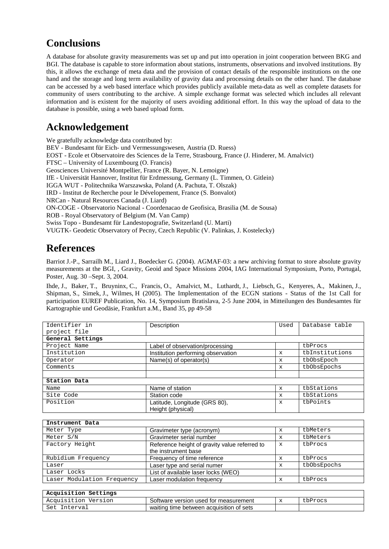## **Conclusions**

A database for absolute gravity measurements was set up and put into operation in joint cooperation between BKG and BGI. The database is capable to store information about stations, instruments, observations and involved institutions. By this, it allows the exchange of meta data and the provision of contact details of the responsible institutions on the one hand and the storage and long term availability of gravity data and processing details on the other hand. The database can be accessed by a web based interface which provides publicly available meta-data as well as complete datasets for community of users contributing to the archive. A simple exchange format was selected which includes all relevant information and is existent for the majority of users avoiding additional effort. In this way the upload of data to the database is possible, using a web based upload form.

### **Acknowledgement**

We gratefully acknowledge data contributed by: BEV - Bundesamt für Eich- und Vermessungswesen, Austria (D. Ruess) EOST - Ecole et Observatoire des Sciences de la Terre, Strasbourg, France (J. Hinderer, M. Amalvict) FTSC – University of Luxembourg (O. Francis) Geosciences Université Montpellier, France (R. Bayer, N. Lemoigne) IfE - Universität Hannover, Institut für Erdmessung, Germany (L. Timmen, O. Gitlein) IGGA WUT - Politechnika Warszawska, Poland (A. Pachuta, T. Olszak) IRD - Institut de Recherche pour le Dévelopement, France (S. Bonvalot) NRCan - Natural Resources Canada (J. Liard) ON-COGE - Observatorio Nacional - Coordenacao de Geofisica, Brasilia (M. de Sousa) ROB - Royal Observatory of Belgium (M. Van Camp) Swiss Topo - Bundesamt für Landestopografie, Switzerland (U. Marti) VUGTK- Geodetic Observatory of Pecny, Czech Republic (V. Palinkas, J. Kostelecky)

#### **References**

Barriot J.-P., Sarrailh M., Liard J., Boedecker G. (2004). AGMAF-03: a new archiving format to store absolute gravity measurements at the BGI, , Gravity, Geoid and Space Missions 2004, IAG International Symposium, Porto, Portugal, Poster, Aug. 30 –Sept. 3, 2004.

Ihde, J., Baker, T., Bruyninx, C., Francis, O., Amalvict, M., Luthardt, J., Liebsch, G., Kenyeres, A., Makinen, J., Shipman, S., Simek, J., Wilmes, H (2005). The Implementation of the ECGN stations - Status of the 1st Call for participation EUREF Publication, No. 14, Symposium Bratislava, 2-5 June 2004, in Mitteilungen des Bundesamtes für Kartographie und Geodäsie, Frankfurt a.M., Band 35, pp 49-58

| Identifier in    | Description                        | Used         | Database table |
|------------------|------------------------------------|--------------|----------------|
| project file     |                                    |              |                |
| General Settings |                                    |              |                |
| Project Name     | Label of observation/processing    |              | tbProcs        |
| Institution      | Institution performing observation | $\mathbf{x}$ | tbInstitutions |
| Operator         | Name(s) of operator(s)             | X            | tbObsEpoch     |
| Comments         |                                    | $\mathbf x$  | tbObsEpochs    |
|                  |                                    |              |                |
| Station Data     |                                    |              |                |
| Name             | Name of station                    | X            | tbStations     |
| Site Code        | Station code                       | $\mathbf{x}$ | tbStations     |
| Position         | Latitude, Longitude (GRS 80),      | $\mathbf{x}$ | thPoints       |
|                  | Height (physical)                  |              |                |

| Instrument Data            |                                               |             |             |  |  |
|----------------------------|-----------------------------------------------|-------------|-------------|--|--|
| Meter Type                 | X                                             | thMeters    |             |  |  |
| Meter S/N                  | Gravimeter serial number                      | X           | thMeters    |  |  |
| Factory Height             | Reference height of gravity value referred to |             |             |  |  |
|                            | the instrument base                           |             |             |  |  |
| Rubidium Frequency         | Frequency of time reference                   | $\mathbf x$ | thProcs     |  |  |
| Laser                      | Laser type and serial numer                   | X           | tbObsEpochs |  |  |
| Laser Locks                | List of available laser locks (WEO)           |             |             |  |  |
| Laser Modulation Frequency | Laser modulation frequency                    | X           | tbProcs     |  |  |

| Acquisition Settings |                                          |         |
|----------------------|------------------------------------------|---------|
| Acquisition Version  | Software version used for measurement    | tbProcs |
| Set .<br>Interval    | waiting time between acquisition of sets |         |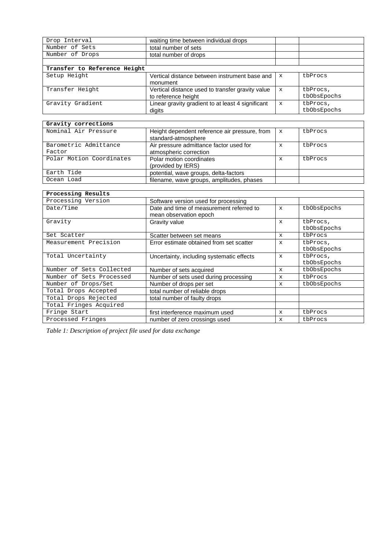| Drop Interval                | waiting time between individual drops             |              |             |
|------------------------------|---------------------------------------------------|--------------|-------------|
| Number of Sets               | total number of sets                              |              |             |
| Number of Drops              | total number of drops                             |              |             |
|                              |                                                   |              |             |
| Transfer to Reference Height |                                                   |              |             |
| Setup Height                 | Vertical distance between instrument base and     | $\mathbf{x}$ | tbProcs     |
|                              | monument                                          |              |             |
| Transfer Height              | Vertical distance used to transfer gravity value  | $\mathbf{x}$ | tbProcs,    |
|                              | to reference height                               |              | tbObsEpochs |
| Gravity Gradient             | Linear gravity gradient to at least 4 significant | $\mathbf{x}$ | tbProcs,    |
|                              | digits                                            |              | tbObsEpochs |

| Gravity corrections      |                                               |              |         |
|--------------------------|-----------------------------------------------|--------------|---------|
| Nominal Air Pressure     | Height dependent reference air pressure, from | $\mathbf{x}$ | tbProcs |
|                          | standard-atmosphere                           |              |         |
| Barometric Admittance    | Air pressure admittance factor used for       | $\mathbf x$  | tbProcs |
| Factor                   | atmospheric correction                        |              |         |
| Polar Motion Coordinates | Polar motion coordinates                      | x            | tbProcs |
|                          | (provided by IERS)                            |              |         |
| Earth Tide               | potential, wave groups, delta-factors         |              |         |
| Ocean Load               | filename, wave groups, amplitudes, phases     |              |         |

| Processing Results       |                                           |              |             |
|--------------------------|-------------------------------------------|--------------|-------------|
| Processing Version       | Software version used for processing      |              |             |
| Date/Time                | Date and time of measurement referred to  | $\mathbf{x}$ | tbObsEpochs |
|                          | mean observation epoch                    |              |             |
| Gravity                  | Gravity value                             | $\mathbf{x}$ | tbProcs,    |
|                          |                                           |              | tbObsEpochs |
| Set Scatter              | Scatter between set means                 | $\mathbf{x}$ | tbProcs     |
| Measurement Precision    | Error estimate obtained from set scatter  | $\mathbf{x}$ | tbProcs,    |
|                          |                                           |              | tbObsEpochs |
| Total Uncertainty        | Uncertainty, including systematic effects | $\mathbf{x}$ | tbProcs,    |
|                          |                                           |              | tbObsEpochs |
| Number of Sets Collected | Number of sets acquired                   | $\mathbf{x}$ | tbObsEpochs |
| Number of Sets Processed | Number of sets used during processing     | X            | thProcs     |
| Number of Drops/Set      | Number of drops per set                   | $\mathbf{x}$ | tbObsEpochs |
| Total Drops Accepted     | total number of reliable drops            |              |             |
| Total Drops Rejected     | total number of faulty drops              |              |             |
| Total Fringes Acquired   |                                           |              |             |
| Fringe Start             | first interference maximum used           | $\mathbf{x}$ | tbProcs     |
| Processed Fringes        | number of zero crossings used             | X            | tbProcs     |

*Table 1: Description of project file used for data exchange*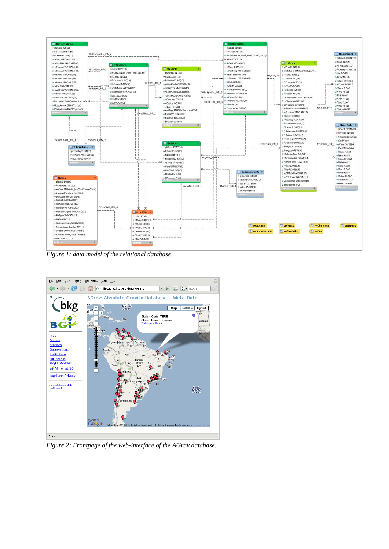

*Figure 1: data model of the relational database*



*Figure 2: Frontpage of the web-interface of the AGrav database.*